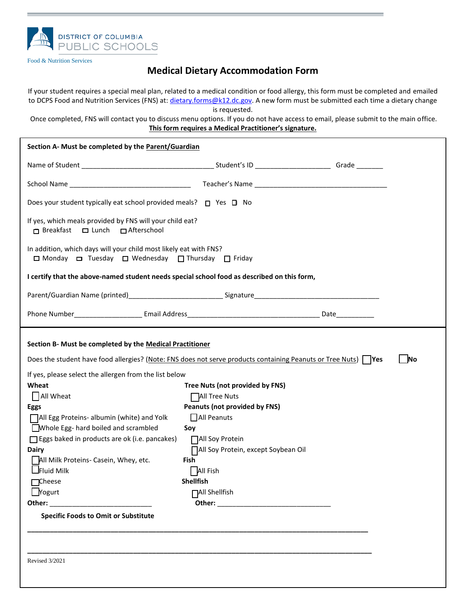

Food & Nutrition Services

## **Medical Dietary Accommodation Form**

If your student requires a special meal plan, related to a medical condition or food allergy, this form must be completed and emailed to DCPS Food and Nutrition Services (FNS) at: *dietary.forms@k12.dc.gov*. A new form must be submitted each time a dietary change is requested.

Once completed, FNS will contact you to discuss menu options. If you do not have access to email, please submit to the main office. **This form requires a Medical Practitioner's signature.**

| Section A- Must be completed by the Parent/Guardian                                                                                                                                                                                                                                                                                                                                                                                                                                                                                                                                                                                                                                                                                                                                                                                                     |  |  |  |  |  |
|---------------------------------------------------------------------------------------------------------------------------------------------------------------------------------------------------------------------------------------------------------------------------------------------------------------------------------------------------------------------------------------------------------------------------------------------------------------------------------------------------------------------------------------------------------------------------------------------------------------------------------------------------------------------------------------------------------------------------------------------------------------------------------------------------------------------------------------------------------|--|--|--|--|--|
|                                                                                                                                                                                                                                                                                                                                                                                                                                                                                                                                                                                                                                                                                                                                                                                                                                                         |  |  |  |  |  |
|                                                                                                                                                                                                                                                                                                                                                                                                                                                                                                                                                                                                                                                                                                                                                                                                                                                         |  |  |  |  |  |
| Does your student typically eat school provided meals? $\Box$ Yes $\Box$ No                                                                                                                                                                                                                                                                                                                                                                                                                                                                                                                                                                                                                                                                                                                                                                             |  |  |  |  |  |
| If yes, which meals provided by FNS will your child eat?<br>□ Breakfast □ Lunch □ Afterschool                                                                                                                                                                                                                                                                                                                                                                                                                                                                                                                                                                                                                                                                                                                                                           |  |  |  |  |  |
| In addition, which days will your child most likely eat with FNS?<br>□ Monday □ Tuesday □ Wednesday □ Thursday □ Friday                                                                                                                                                                                                                                                                                                                                                                                                                                                                                                                                                                                                                                                                                                                                 |  |  |  |  |  |
| I certify that the above-named student needs special school food as described on this form,                                                                                                                                                                                                                                                                                                                                                                                                                                                                                                                                                                                                                                                                                                                                                             |  |  |  |  |  |
|                                                                                                                                                                                                                                                                                                                                                                                                                                                                                                                                                                                                                                                                                                                                                                                                                                                         |  |  |  |  |  |
|                                                                                                                                                                                                                                                                                                                                                                                                                                                                                                                                                                                                                                                                                                                                                                                                                                                         |  |  |  |  |  |
| Section B- Must be completed by the Medical Practitioner<br>Does the student have food allergies? (Note: FNS does not serve products containing Peanuts or Tree Nuts)   Yes<br><b>No</b><br>If yes, please select the allergen from the list below<br>Wheat<br>Tree Nuts (not provided by FNS)<br>$\Box$ All Wheat<br>All Tree Nuts<br><b>Peanuts (not provided by FNS)</b><br><b>Eggs</b><br>All Peanuts<br>All Egg Proteins- albumin (white) and Yolk<br>Whole Egg- hard boiled and scrambled<br>Soy<br>$\Box$ Eggs baked in products are ok (i.e. pancakes)<br>□ All Soy Protein<br>□ All Soy Protein, except Soybean Oil<br><b>Dairy</b><br>All Milk Proteins- Casein, Whey, etc.<br>Fish<br>$\Box$ Fluid Milk<br>  All Fish<br>Shellfish<br>$\Box$ Cheese<br>$\Box$ Yogurt<br><b>□All Shellfish</b><br><b>Specific Foods to Omit or Substitute</b> |  |  |  |  |  |
| <b>Revised 3/2021</b>                                                                                                                                                                                                                                                                                                                                                                                                                                                                                                                                                                                                                                                                                                                                                                                                                                   |  |  |  |  |  |
|                                                                                                                                                                                                                                                                                                                                                                                                                                                                                                                                                                                                                                                                                                                                                                                                                                                         |  |  |  |  |  |